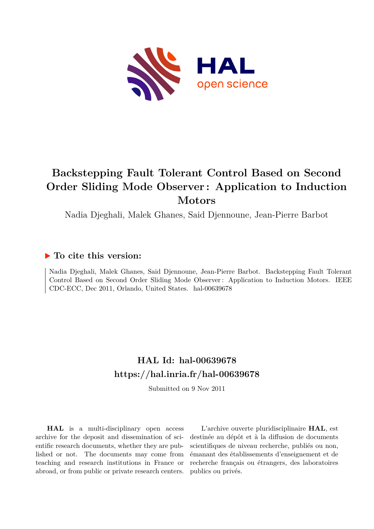

# **Backstepping Fault Tolerant Control Based on Second Order Sliding Mode Observer : Application to Induction Motors**

Nadia Djeghali, Malek Ghanes, Said Djennoune, Jean-Pierre Barbot

### **To cite this version:**

Nadia Djeghali, Malek Ghanes, Said Djennoune, Jean-Pierre Barbot. Backstepping Fault Tolerant Control Based on Second Order Sliding Mode Observer : Application to Induction Motors. IEEE CDC-ECC, Dec 2011, Orlando, United States. hal-00639678

## **HAL Id: hal-00639678 <https://hal.inria.fr/hal-00639678>**

Submitted on 9 Nov 2011

**HAL** is a multi-disciplinary open access archive for the deposit and dissemination of scientific research documents, whether they are published or not. The documents may come from teaching and research institutions in France or abroad, or from public or private research centers.

L'archive ouverte pluridisciplinaire **HAL**, est destinée au dépôt et à la diffusion de documents scientifiques de niveau recherche, publiés ou non, émanant des établissements d'enseignement et de recherche français ou étrangers, des laboratoires publics ou privés.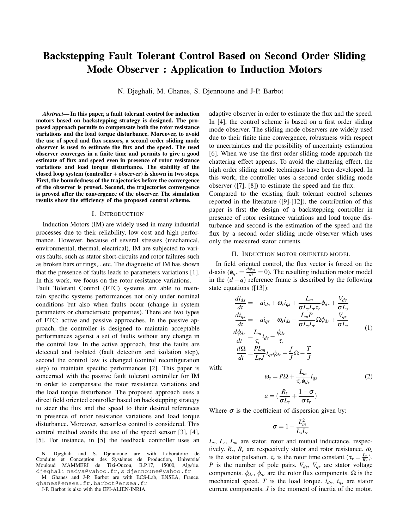## Backstepping Fault Tolerant Control Based on Second Order Sliding Mode Observer : Application to Induction Motors

N. Djeghali, M. Ghanes, S. Djennoune and J-P. Barbot

*Abstract*— In this paper, a fault tolerant control for induction motors based on backstepping strategy is designed. The proposed approach permits to compensate both the rotor resistance variations and the load torque disturbance. Moreover, to avoid the use of speed and flux sensors, a second order sliding mode observer is used to estimate the flux and the speed. The used observer converges in a finite time and permits to give a good estimate of flux and speed even in presence of rotor resistance variations and load torque disturbance. The stability of the closed loop system (controller + observer) is shown in two steps. First, the boundedness of the trajectories before the convergence of the observer is proved. Second, the trajectories convergence is proved after the convergence of the observer. The simulation results show the efficiency of the proposed control scheme.

#### I. INTRODUCTION

Induction Motors (IM) are widely used in many industrial processes due to their reliability, low cost and high performance. However, because of several stresses (mechanical, environmental, thermal, electrical), IM are subjected to various faults, such as stator short-circuits and rotor failures such as broken bars or rings,...etc. The diagnostic of IM has shown that the presence of faults leads to parameters variations [1]. In this work, we focus on the rotor resistance variations.

Fault Tolerant Control (FTC) systems are able to maintain specific systems performances not only under nominal conditions but also when faults occur (change in system parameters or characteristic properties). There are two types of FTC: active and passive approaches. In the passive approach, the controller is designed to maintain acceptable performances against a set of faults without any change in the control law. In the active approach, first the faults are detected and isolated (fault detection and isolation step), second the control law is changed (control reconfiguration step) to maintain specific performances [2]. This paper is concerned with the passive fault tolerant controller for IM in order to compensate the rotor resistance variations and the load torque disturbance. The proposed approach uses a direct field oriented controller based on backstepping strategy to steer the flux and the speed to their desired references in presence of rotor resistance variations and load torque disturbance. Moreover, sensorless control is considered. This control method avoids the use of the speed sensor [3], [4], [5]. For instance, in [5] the feedback controller uses an

N. Djeghali and S. Djennoune are with Laboratoire de Conduite et Conception des Systèmes de Production, Université Mouloud MAMMERI de Tizi-Ouzou, B.P.17, 15000, Algérie. djeghali nadya@yahoo.fr,s djennoune@yahoo.fr

M. Ghanes and J-P. Barbot are with ECS-Lab, ENSEA, France. ghanes@ensea.fr,barbot@ensea.fr

J-P. Barbot is also with the EPI-ALIEN-INRIA.

adaptive observer in order to estimate the flux and the speed. In [4], the control scheme is based on a first order sliding mode observer. The sliding mode observers are widely used due to their finite time convergence, robustness with respect to uncertainties and the possibility of uncertainty estimation [6]. When we use the first order sliding mode approach the chattering effect appears. To avoid the chattering effect, the high order sliding mode techniques have been developed. In this work, the controller uses a second order sliding mode observer ([7], [8]) to estimate the speed and the flux.

Compared to the existing fault tolerant control schemes reported in the literature ([9]-[12]), the contribution of this paper is first the design of a backstepping controller in presence of rotor resistance variations and load torque disturbance and second is the estimation of the speed and the flux by a second order sliding mode observer which uses only the measured stator currents.

#### II. INDUCTION MOTOR ORIENTED MODEL

In field oriented control, the flux vector is forced on the d-axis ( $\phi_{qr} = \frac{d\phi_{qr}}{dt} = 0$ ). The resulting induction motor model in the  $(d - q)$  reference frame is described by the following state equations ([13]):

$$
\begin{aligned}\n\frac{di_{ds}}{dt} &= -ai_{ds} + \omega_s i_{qs} + \frac{L_m}{\sigma L_s L_r \tau_r} \phi_{dr} + \frac{V_{ds}}{\sigma L_s} \\
\frac{di_{gs}}{dt} &= -ai_{qs} - \omega_s i_{ds} - \frac{L_m P}{\sigma L_s L_r} \Omega \phi_{dr} + \frac{V_{gs}}{\sigma L_s} \\
\frac{d\phi_{dr}}{dt} &= \frac{L_m}{\tau_r} i_{ds} - \frac{\phi_{dr}}{\tau_r} \\
\frac{d\Omega}{dt} &= \frac{PL_m}{L_r J} i_{qs} \phi_{dr} - \frac{f}{J} \Omega - \frac{T}{J}\n\end{aligned} \tag{1}
$$

with:

$$
\omega_s = P\Omega + \frac{L_m}{\tau_r \phi_{dr}} i_{qs}
$$
\n
$$
a = \left(\frac{R_s}{\sigma L_s} + \frac{1 - \sigma}{\sigma \tau_r}\right)
$$
\n(2)

Where  $\sigma$  is the coefficient of dispersion given by:

$$
\sigma = 1 - \frac{L_m^2}{L_s L_r}
$$

*Ls* , *L<sup>r</sup>* , *L<sup>m</sup>* are stator, rotor and mutual inductance, respectively.  $R_s$ ,  $R_r$  are respectively stator and rotor resistance.  $\omega_s$ is the stator pulsation.  $\tau_r$  is the rotor time constant  $(\tau_r = \frac{L_r}{R_r})$ . *P* is the number of pole pairs. *Vds*, *Vqs* are stator voltage components.  $φ_{dr}$ ,  $φ_{qr}$  are the rotor flux components.  $Ω$  is the mechanical speed. *T* is the load torque. *ids*, *iqs* are stator current components. *J* is the moment of inertia of the motor.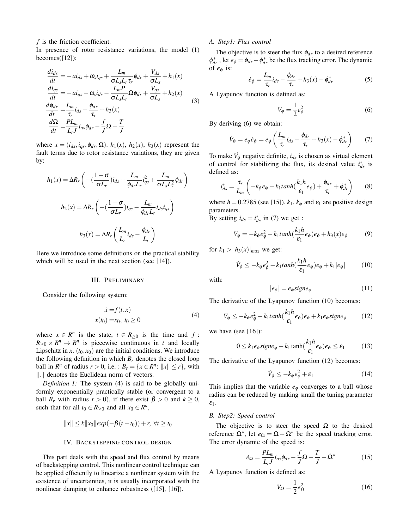*f* is the friction coefficient.

In presence of rotor resistance variations, the model (1) becomes([12]):

$$
\begin{split}\n\frac{di_{ds}}{dt} &= -ai_{ds} + \omega_s i_{qs} + \frac{L_m}{\sigma L_s L_r \tau_r} \phi_{dr} + \frac{V_{ds}}{\sigma L_s} + h_1(x) \\
\frac{di_{gs}}{dt} &= -ai_{qs} - \omega_s i_{ds} - \frac{L_m P}{\sigma L_s L_r} \Omega \phi_{dr} + \frac{V_{gs}}{\sigma L_s} + h_2(x) \\
\frac{d\phi_{dr}}{dt} &= \frac{L_m}{\tau_r} i_{ds} - \frac{\phi_{dr}}{\tau_r} + h_3(x) \\
\frac{d\Omega}{dt} &= \frac{PL_m}{L_r J} i_{qs} \phi_{dr} - \frac{f}{J} \Omega - \frac{T}{J}\n\end{split}
$$
\n(3)

where  $x = (i_{ds}, i_{qs}, \phi_{dr}, \Omega)$ .  $h_1(x)$ ,  $h_2(x)$ ,  $h_3(x)$  represent the fault terms due to rotor resistance variations, they are given by:

$$
h_1(x) = \Delta R_r \left( -(\frac{1-\sigma}{\sigma L_r}) i_{ds} + \frac{L_m}{\phi_{dr} L_r} i_{qs}^2 + \frac{L_m}{\sigma L_s L_r^2} \phi_{dr} \right)
$$

$$
h_2(x) = \Delta R_r \left( -(\frac{1-\sigma}{\sigma L_r}) i_{qs} - \frac{L_m}{\phi_{dr} L_r} i_{ds} i_{qs} \right)
$$

$$
h_3(x) = \Delta R_r \left( \frac{L_m}{L_r} i_{ds} - \frac{\phi_{dr}}{L_r} \right)
$$

Here we introduce some definitions on the practical stability which will be used in the next section (see [14]).

#### III. PRELIMINARY

Consider the following system:

$$
\begin{aligned}\n\dot{x} &= f(t, x) \\
x(t_0) &= x_0, \ t_0 \ge 0\n\end{aligned} \tag{4}
$$

where  $x \in R^n$  is the state,  $t \in R_{\geq 0}$  is the time and  $f$ :  $R_{\geq 0} \times R^n \to R^n$  is piecewise continuous in *t* and locally Lipschitz in *x*.  $(t_0, x_0)$  are the initial conditions. We introduce the following definition in which  $B_r$  denotes the closed loop ball in  $R^n$  of radius  $r > 0$ , i.e. :  $B_r = \{x \in R^n : ||x|| \le r\}$ , with *∥.∥* denotes the Euclidean norm of vectors.

*Definition 1:* The system (4) is said to be globally uniformly exponentially practically stable (or convergent to a ball  $B_r$  with radius  $r > 0$ , if there exist  $\beta > 0$  and  $k \ge 0$ , such that for all  $t_0 \in R_{\geq 0}$  and all  $x_0 \in R^n$ ,

$$
||x|| \le k||x_0||\exp(-\beta(t-t_0)) + r, \ \forall t \ge t_0
$$

#### IV. BACKSTEPPING CONTROL DESIGN

This part deals with the speed and flux control by means of backstepping control. This nonlinear control technique can be applied efficiently to linearize a nonlinear system with the existence of uncertainties, it is usually incorporated with the nonlinear damping to enhance robustness ([15], [16]).

#### *A. Step1: Flux control*

The objective is to steer the flux  $\phi_{dr}$  to a desired reference  $\phi_{dr}^*$ , let  $e_{\phi} = \phi_{dr} - \phi_{dr}^*$  be the flux tracking error. The dynamic of  $e_{\phi}$  is:

$$
\dot{e}_{\phi} = \frac{L_m}{\tau_r} i_{ds} - \frac{\phi_{dr}}{\tau_r} + h_3(x) - \dot{\phi}_{dr}^* \tag{5}
$$

A Lyapunov function is defined as:

$$
V_{\phi} = \frac{1}{2}e_{\phi}^{2} \tag{6}
$$

By deriving (6) we obtain:

$$
\dot{V}_{\phi} = e_{\phi} \dot{e}_{\phi} = e_{\phi} \left( \frac{L_m}{\tau_r} i_{ds} - \frac{\phi_{dr}}{\tau_r} + h_3(x) - \dot{\phi}_{dr}^* \right) \tag{7}
$$

To make  $\dot{V}_{\phi}$  negative definite,  $i_{ds}$  is chosen as virtual element of control for stabilizing the flux, its desired value  $i_{ds}^*$  is defined as:

$$
i_{ds}^* = \frac{\tau_r}{L_m} \left( -k_{\phi} e_{\phi} - k_1 \tanh(\frac{k_1 h}{\varepsilon_1} e_{\phi}) + \frac{\phi_{dr}}{\tau_r} + \dot{\phi}_{dr}^* \right) \tag{8}
$$

where  $h = 0.2785$  (see [15]).  $k_1$ ,  $k_\phi$  and  $\varepsilon_1$  are positive design parameters.

By setting  $i_{ds} = i_{ds}^*$  in (7) we get :

$$
\dot{V}_{\phi} = -k_{\phi}e_{\phi}^{2} - k_{1}tanh(\frac{k_{1}h}{\varepsilon_{1}}e_{\phi})e_{\phi} + h_{3}(x)e_{\phi}
$$
 (9)

for  $k_1 > |h_3(x)|_{max}$  we get:

$$
\dot{V}_{\phi} \le -k_{\phi}e_{\phi}^{2} - k_{1}tanh(\frac{k_{1}h}{\varepsilon_{1}}e_{\phi})e_{\phi} + k_{1}|e_{\phi}| \qquad (10)
$$

with:

$$
|e_{\phi}| = e_{\phi} \text{sign} e_{\phi} \tag{11}
$$

The derivative of the Lyapunov function (10) becomes:

$$
\dot{V}_{\phi} \le -k_{\phi}e_{\phi}^{2} - k_{1}tanh(\frac{k_{1}h}{\varepsilon_{1}}e_{\phi})e_{\phi} + k_{1}e_{\phi}signe_{\phi}
$$
 (12)

we have (see  $[16]$ ):

$$
0 \le k_1 e_{\phi} sign e_{\phi} - k_1 \tanh(\frac{k_1 h}{\varepsilon_1} e_{\phi}) e_{\phi} \le \varepsilon_1 \tag{13}
$$

The derivative of the Lyapunov function (12) becomes:

$$
\dot{V}_{\phi} \le -k_{\phi} e_{\phi}^2 + \varepsilon_1 \tag{14}
$$

This implies that the variable  $e$ <sup> $\phi$ </sup> converges to a ball whose radius can be reduced by making small the tuning parameter  $\varepsilon_1$ .

#### *B. Step2: Speed control*

The objective is to steer the speed  $\Omega$  to the desired reference Ω<sup>*∗*</sup>, let *e*<sub>Ω</sub> = Ω − Ω<sup>*∗*</sup> be the speed tracking error. The error dynamic of the speed is:

$$
\dot{e}_{\Omega} = \frac{PL_m}{L_r J} i_{qs} \phi_{dr} - \frac{f}{J} \Omega - \frac{T}{J} - \dot{\Omega}^*
$$
\n(15)

A Lyapunov function is defined as:

$$
V_{\Omega} = \frac{1}{2}e_{\Omega}^2
$$
 (16)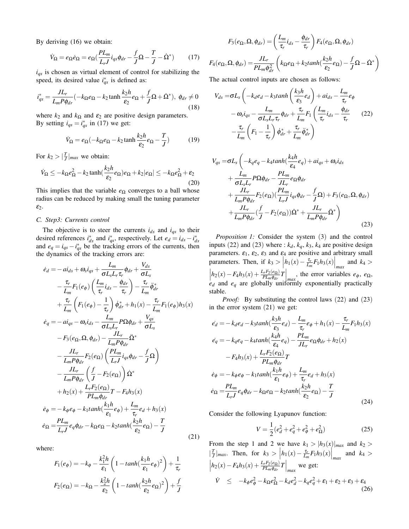By deriving (16) we obtain:

$$
\dot{V}_{\Omega} = e_{\Omega} \dot{e}_{\Omega} = e_{\Omega} \left( \frac{PL_m}{L_r J} i_{qs} \phi_{dr} - \frac{f}{J} \Omega - \frac{T}{J} - \dot{\Omega}^* \right) \tag{17}
$$

 $i_{qs}$  is chosen as virtual element of control for stabilizing the speed, its desired value  $i^*_{qs}$  is defined as:

$$
i_{qs}^{*} = \frac{J L_r}{L_m P \phi_{dr}} (-k_{\Omega} e_{\Omega} - k_2 \tanh \frac{k_2 h}{\epsilon_2} e_{\Omega} + \frac{f}{J} \Omega + \dot{\Omega}^*), \ \phi_{dr} \neq 0
$$
\n(18)

where  $k_2$  and  $k_{\Omega}$  and  $\varepsilon_2$  are positive design parameters. By setting  $i_{qs} = i_{qs}^*$  in (17) we get:

$$
\dot{V}_{\Omega} = e_{\Omega}(-k_{\Omega}e_{\Omega} - k_2 \tanh \frac{k_2 h}{\epsilon_2}e_{\Omega} - \frac{T}{J})
$$
(19)

For  $k_2 > \left|\frac{T}{J}\right|_{max}$  we obtain:

$$
\dot{V}_{\Omega} \le -k_{\Omega}e_{\Omega}^2 - k_2 \tanh(\frac{k_2 h}{\varepsilon_2}e_{\Omega})e_{\Omega} + k_2|e_{\Omega}| \le -k_{\Omega}e_{\Omega}^2 + \varepsilon_2
$$
\n(20)

This implies that the variable *e*<sub>Ω</sub> converges to a ball whose radius can be reduced by making small the tuning parameter <sup>ε</sup>2.

#### *C. Step3: Currents control*

The objective is to steer the currents  $i_{ds}$  and  $i_{qs}$  to their desired references  $i_{ds}^*$  and  $i_{qs}^*$ , respectively. Let  $e_d = i_{ds} - i_{ds}^*$ <br>and  $e_q = i_{qs} - i_{qs}^*$  be the tracking errors of the currents, then the dynamics of the tracking errors are:

$$
\dot{e}_{d} = -ai_{ds} + \omega_{s}i_{qs} + \frac{L_{m}}{\sigma L_{s}L_{r}\tau_{r}}\phi_{dr} + \frac{V_{ds}}{\sigma L_{s}} \n- \frac{\tau_{r}}{L_{m}}F_{1}(e_{\phi})\left(\frac{L_{m}}{\tau_{r}}i_{ds} - \frac{\phi_{dr}}{\tau_{r}}\right) - \frac{\tau_{r}}{L_{m}}\ddot{\phi}_{dr}^{*} \n+ \frac{\tau_{r}}{L_{m}}\left(F_{1}(e_{\phi}) - \frac{1}{\tau_{r}}\right)\dot{\phi}_{dr}^{*} + h_{1}(x) - \frac{\tau_{r}}{L_{m}}F_{1}(e_{\phi})h_{3}(x) \n\dot{e}_{q} = -ai_{qs} - \omega_{s}i_{ds} - \frac{L_{m}}{\sigma L_{s}L_{r}}P\Omega\phi_{dr} + \frac{V_{qs}}{\sigma L_{s}} \n- F_{3}(e_{\Omega}, \Omega, \phi_{dr}) - \frac{J L_{r}}{L_{m}P\phi_{dr}}\ddot{\Omega}^{*} \n- \frac{J L_{r}}{L_{m}P\phi_{dr}}F_{2}(e_{\Omega})\left(\frac{PL_{m}}{L_{r}J}i_{qs}\phi_{dr} - \frac{f}{J}\Omega\right) \n- \frac{J L_{r}}{L_{m}P\phi_{dr}}\left(\frac{f}{J} - F_{2}(e_{\Omega})\right)\dot{\Omega}^{*} \n+ h_{2}(x) + \frac{L_{r}F_{2}(e_{\Omega})}{PL_{m}\phi_{dr}}T - F_{4}h_{3}(x) \n\dot{e}_{\phi} = -k_{\phi}e_{\phi} - k_{1}tanh(\frac{k_{1}h}{\epsilon_{1}}e_{\phi}) + \frac{L_{m}}{\tau_{r}}e_{d} + h_{3}(x) \n\dot{e}_{\Omega} = \frac{PL_{m}}{L_{r}J}e_{q}\phi_{dr} - k_{\Omega}e_{\Omega} - k_{2}tanh(\frac{k_{2}h}{\epsilon_{2}}e_{\Omega}) - \frac{T}{J}
$$
\n(21)

where:

$$
F_1(e_{\phi}) = -k_{\phi} - \frac{k_1^2 h}{\epsilon_1} \left( 1 - \tanh(\frac{k_1 h}{\epsilon_1} e_{\phi})^2 \right) + \frac{1}{\tau_r}
$$

$$
F_2(e_{\Omega}) = -k_{\Omega} - \frac{k_2^2 h}{\epsilon_2} \left( 1 - \tanh(\frac{k_2 h}{\epsilon_2} e_{\Omega})^2 \right) + \frac{f}{J}
$$

$$
F_3(e_{\Omega}, \Omega, \phi_{dr}) = \left(\frac{L_m}{\tau_r} i_{ds} - \frac{\phi_{dr}}{\tau_r}\right) F_4(e_{\Omega}, \Omega, \phi_{dr})
$$

$$
F_4(e_{\Omega}, \Omega, \phi_{dr}) = \frac{J L_r}{PL_m \phi_{dr}^2} \left(k_{\Omega} e_{\Omega} + k_2 \tanh\left(\frac{k_2 h}{\epsilon_2} e_{\Omega}\right) - \frac{f}{J} \Omega - \dot{\Omega}^*\right)
$$

The actual control inputs are chosen as follows:

$$
V_{ds} = \sigma L_s \left( -k_d e_d - k_3 \tanh\left(\frac{k_3 h}{\epsilon_3} e_d\right) + a i_{ds} - \frac{L_m}{\tau_r} e_\phi \right)
$$

$$
- \omega_s i_{qs} - \frac{L_m}{\sigma L_s L_r \tau_r} \phi_{dr} + \frac{\tau_r}{L_m} F_1 \left( \frac{L_m}{\tau_r} i_{ds} - \frac{\phi_{dr}}{\tau_r} - \frac{\tau_r}{L_m} \left( \frac{\tau_r}{L_m} \right) \phi_{dr} + \frac{\tau_r}{L_m} \phi_{dr} \right)
$$
(22)

$$
V_{qs} = \sigma L_s \left( -k_q e_q - k_4 \tanh(\frac{k_4 h}{\epsilon_4} e_q) + a i_{qs} + \omega_s i_{ds} + \frac{L_m}{\sigma L_s L_r} P \Omega \phi_{dr} - \frac{P L_m}{J L_r} e_\Omega \phi_{dr} + \frac{J L_r}{L_m P \phi_{dr}} F_2(e_\Omega) \left( \frac{P L_m}{L_r J} i_{qs} \phi_{dr} - \frac{f}{J} \Omega \right) + F_3(e_\Omega, \Omega, \phi_{dr}) + \frac{J L_r}{L_m P \phi_{dr}} \left( \frac{f}{J} - F_2(e_\Omega) \right) \dot{\Omega}^* + \frac{J L_r}{L_m P \phi_{dr}} \dot{\Omega}^* \right)
$$
\n(23)

*Proposition 1:* Consider the system (3) and the control inputs (22) and (23) where :  $k_d$ ,  $k_q$ ,  $k_3$ ,  $k_4$  are positive design parameters.  $\varepsilon_1$ ,  $\varepsilon_2$ ,  $\varepsilon_3$  and  $\varepsilon_4$  are positive and arbitrary small  $\left| h_1(x) - \frac{\tau_r}{L_m} F_1 h_3(x) \right|_{max}$  and  $k_4 >$  $\left| h_2(x) - F_4h_3(x) + \frac{L_rF_2(e_{\Omega})}{PL_m\phi_{dr}} T \right|_{max}$ , the error variables  $e_{\phi}$ ,  $e_{\Omega}$ , *e<sup>d</sup>* and *e<sup>q</sup>* are globally uniformly exponentially practically stable.

*Proof:* By substituting the control laws (22) and (23) in the error system (21) we get:

$$
\dot{e}_d = -k_d e_d - k_3 \tanh(\frac{k_3 h}{\varepsilon_3} e_d) - \frac{L_m}{\tau_r} e_\phi + h_1(x) - \frac{\tau_r}{L_m} F_1 h_3(x)
$$
\n
$$
\dot{e}_q = -k_q e_q - k_4 \tanh(\frac{k_4 h}{\varepsilon_4} e_q) - \frac{PL_m}{J L_r} e_\Omega \phi_{dr} + h_2(x)
$$
\n
$$
-F_4 h_3(x) + \frac{L_r F_2(e_\Omega)}{PL_m \phi_{dr}} T
$$
\n
$$
\dot{e}_\phi = -k_\phi e_\phi - k_1 \tanh(\frac{k_1 h}{\varepsilon_1} e_\phi) + \frac{L_m}{\tau_r} e_d + h_3(x)
$$
\n
$$
\dot{e}_\Omega = \frac{PL_m}{L_r J} e_q \phi_{dr} - k_\Omega e_\Omega - k_2 \tanh(\frac{k_2 h}{\varepsilon_2} e_\Omega) - \frac{T}{J}
$$
\n(24)

Consider the following Lyapunov function:

$$
V = \frac{1}{2} (e_d^2 + e_q^2 + e_\phi^2 + e_\Omega^2)
$$
 (25)

From the step 1 and 2 we have 
$$
k_1 > |h_3(x)|_{max}
$$
 and  $k_2 > |\frac{T}{J}|_{max}$ . Then, for  $k_3 > |h_1(x) - \frac{\tau_r}{L_m}F_1h_3(x)|_{max}$  and  $k_4 > |h_2(x) - F_4h_3(x) + \frac{L_rF_2(e_0)}{PL_m\phi_{dr}}T|_{max}$  we get:  
\n
$$
\dot{V} \le -k_{\phi}e_{\phi}^2 - k_{\Omega}e_{\Omega}^2 - k_{d}e_{d}^2 - k_{q}e_{q}^2 + \varepsilon_1 + \varepsilon_2 + \varepsilon_3 + \varepsilon_4
$$
\n(26)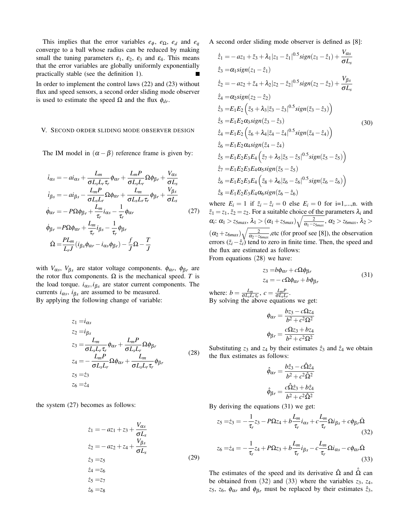This implies that the error variables  $e_{\phi}$ ,  $e_{\Omega}$ ,  $e_{d}$  and  $e_{q}$ converge to a ball whose radius can be reduced by making small the tuning parameters  $\varepsilon_1$ ,  $\varepsilon_2$ ,  $\varepsilon_3$  and  $\varepsilon_4$ . This means that the error variables are globally uniformly exponentially practically stable (see the definition 1).

In order to implement the control laws (22) and (23) without flux and speed sensors, a second order sliding mode observer is used to estimate the speed  $\Omega$  and the flux  $φ_{dr}$ .

#### V. SECOND ORDER SLIDING MODE OBSERVER DESIGN

The IM model in  $(\alpha - \beta)$  reference frame is given by:

$$
\begin{split}\ni_{\alpha s} &= -a i_{\alpha s} + \frac{L_m}{\sigma L_s L_r \tau_r} \phi_{\alpha r} + \frac{L_m P}{\sigma L_s L_r} \Omega \phi_{\beta r} + \frac{V_{\alpha s}}{\sigma L_s} \\
i_{\beta s} &= -a i_{\beta s} - \frac{L_m P}{\sigma L_s L_r} \Omega \phi_{\alpha r} + \frac{L_m}{\sigma L_s L_r \tau_r} \phi_{\beta r} + \frac{V_{\beta s}}{\sigma L_s} \\
\phi_{\alpha r} &= -P \Omega \phi_{\beta r} + \frac{L_m}{\tau_r} i_{\alpha s} - \frac{1}{\tau_r} \phi_{\alpha r} \\
\phi_{\beta r} &= P \Omega \phi_{\alpha r} + \frac{L_m}{\tau_r} i_{\beta s} - \frac{1}{\tau_r} \phi_{\beta r} \\
\dot{\Omega} &= \frac{P L_m}{L_r J} (i_{\beta s} \phi_{\alpha r} - i_{\alpha s} \phi_{\beta r}) - \frac{f}{J} \Omega - \frac{T}{J}\n\end{split} \tag{27}
$$

with  $V_{\alpha s}$ ,  $V_{\beta s}$  are stator voltage components.  $\phi_{\alpha r}$ ,  $\phi_{\beta r}$  are the rotor flux components.  $\Omega$  is the mechanical speed. *T* is the load torque.  $i_{\alpha s}$ ,  $i_{\beta s}$  are stator current components. The currents  $i_{\alpha s}$ ,  $i_{\beta s}$  are assumed to be measured.

By applying the following change of variable:

$$
z_1 = i_{\alpha s}
$$
  
\n
$$
z_2 = i_{\beta s}
$$
  
\n
$$
z_3 = \frac{L_m}{\sigma L_s L_r \tau_r} \phi_{\alpha r} + \frac{L_m P}{\sigma L_s L_r} \Omega \phi_{\beta r}
$$
  
\n
$$
z_4 = -\frac{L_m P}{\sigma L_s L_r} \Omega \phi_{\alpha r} + \frac{L_m}{\sigma L_s L_r \tau_r} \phi_{\beta r}
$$
  
\n
$$
z_5 = \dot{z}_3
$$
  
\n
$$
z_6 = \dot{z}_4
$$
  
\n(28)

the system (27) becomes as follows:

$$
\dot{z}_1 = -az_1 + z_3 + \frac{V_{\alpha s}}{\sigma L_s}
$$
\n
$$
\dot{z}_2 = -az_2 + z_4 + \frac{V_{\beta s}}{\sigma L_s}
$$
\n
$$
\dot{z}_3 = z_5
$$
\n
$$
\dot{z}_4 = z_6
$$
\n
$$
\dot{z}_5 = z_7
$$
\n
$$
\dot{z}_6 = z_8
$$
\n(29)

A second order sliding mode observer is defined as [8]:

$$
\begin{aligned}\n\dot{\tilde{z}}_1 &= -az_1 + \tilde{z}_3 + \lambda_1 |z_1 - \hat{z}_1|^{0.5} sign(z_1 - \hat{z}_1) + \frac{V_{\alpha s}}{\sigma L_s} \\
\dot{\tilde{z}}_3 &= \alpha_1 sign(z_1 - \hat{z}_1) \\
\dot{\tilde{z}}_2 &= -az_2 + \tilde{z}_4 + \lambda_2 |z_2 - \hat{z}_2|^{0.5} sign(z_2 - \hat{z}_2) + \frac{V_{\beta s}}{\sigma L_s} \\
\dot{\tilde{z}}_4 &= \alpha_2 sign(z_2 - \hat{z}_2) \\
\dot{\tilde{z}}_3 &= E_1 E_2 \left( \tilde{z}_5 + \lambda_3 | \tilde{z}_3 - \hat{z}_3|^{0.5} sign(\tilde{z}_3 - \hat{z}_3) \right) \\
\dot{\tilde{z}}_5 &= E_1 E_2 \alpha_3 sign(\tilde{z}_3 - \hat{z}_3) \\
\dot{\tilde{z}}_4 &= E_1 E_2 \left( \tilde{z}_6 + \lambda_4 | \tilde{z}_4 - \hat{z}_4|^{0.5} sign(\tilde{z}_4 - \hat{z}_4) \right) \\
\dot{\tilde{z}}_6 &= E_1 E_2 \alpha_4 sign(\tilde{z}_4 - \hat{z}_4) \\
\dot{\tilde{z}}_5 &= E_1 E_2 E_3 E_4 \left( \tilde{z}_7 + \lambda_5 | \tilde{z}_5 - \hat{z}_5|^{0.5} sign(\tilde{z}_5 - \hat{z}_5) \right) \\
\dot{\tilde{z}}_7 &= E_1 E_2 E_3 E_4 \alpha_5 sign(\tilde{z}_5 - \hat{z}_5) \\
\dot{\tilde{z}}_6 &= E_1 E_2 E_3 E_4 \left( \tilde{z}_8 + \lambda_6 | \tilde{z}_6 - \hat{z}_6|^{0.5} sign(\tilde{z}_6 - \hat{z}_6) \right) \\
\dot{\tilde{z}}_8 &= E_1 E_2 E_3 E_4 \alpha_6 sign(\tilde{z}_6 - \hat{z}_6)\n\end{aligned}
$$
\n(30)

where  $E_i = 1$  if  $\tilde{z}_i - \hat{z}_i = 0$  else  $E_i = 0$  for i=1,...,n. with  $\tilde{z}_1 = z_1$ ,  $\tilde{z}_2 = z_2$ . For a suitable choice of the parameters  $\lambda_i$  and  $\alpha_i: \alpha_1 > z_{5max}, \lambda_1 > (\alpha_1 + z_{5max})\sqrt{\frac{2}{\alpha_1 - z_1}}$ <sup>α</sup>1*−z*5*max* , <sup>α</sup><sup>2</sup> *> z*6*max*, <sup>λ</sup><sup>2</sup> *>*  $(\alpha_2 + z_{6max})\sqrt{\frac{2}{\alpha_2-z^2}}$  $\frac{2}{\alpha_2 - z_{6max}}$ , etc (for proof see [8]), the observation errors ( $\tilde{z}_i - \hat{z}_i$ ) tend to zero in finite time. Then, the speed and the flux are estimated as follows: From equations (28) we have:

$$
z_3 = b\phi_{\alpha r} + c\Omega\phi_{\beta r}
$$
  
\n
$$
z_4 = -c\Omega\phi_{\alpha r} + b\phi_{\beta r}
$$
\n(31)

where:  $b = \frac{L_m}{\sigma L_s L_r \tau_r}, c = \frac{L_m P}{\sigma L_s L_r}.$ By solving the above equations we get:

$$
\phi_{\alpha r} = \frac{b z_3 - c \Omega z_4}{b^2 + c^2 \Omega^2}
$$

$$
\phi_{\beta r} = \frac{c \Omega z_3 + b z_4}{b^2 + c^2 \Omega^2}
$$

Substituting  $z_3$  and  $z_4$  by their estimates  $\hat{z}_3$  and  $\hat{z}_4$  we obtain the flux estimates as follows:

$$
\hat{\phi}_{\alpha r} = \frac{b\hat{z}_3 - c\hat{\Omega}\hat{z}_4}{b^2 + c^2\hat{\Omega}^2}
$$

$$
\hat{\phi}_{\beta r} = \frac{c\hat{\Omega}\hat{z}_3 + b\hat{z}_4}{b^2 + c^2\hat{\Omega}^2}
$$

By deriving the equations (31) we get:

$$
z_5 = \dot{z}_3 = -\frac{1}{\tau_r} z_3 - P\Omega z_4 + b\frac{L_m}{\tau_r} i_{\alpha s} + c\frac{L_m}{\tau_r} \Omega i_{\beta s} + c\phi_{\beta r} \dot{\Omega}
$$
\n(32)

$$
z_6 = \dot{z}_4 = -\frac{1}{\tau_r} z_4 + P\Omega z_3 + b\frac{L_m}{\tau_r} i_{\beta s} - c\frac{L_m}{\tau_r} \Omega i_{\alpha s} - c\phi_{\alpha r} \dot{\Omega}
$$
\n(33)

The estimates of the speed and its derivative  $\hat{\Omega}$  and  $\hat{\Omega}$  can be obtained from  $(32)$  and  $(33)$  where the variables  $z_3$ ,  $z_4$ , *z*<sub>5</sub>, *z*<sub>6</sub>,  $\phi_{\alpha r}$  and  $\phi_{\beta r}$  must be replaced by their estimates  $\hat{z}_3$ ,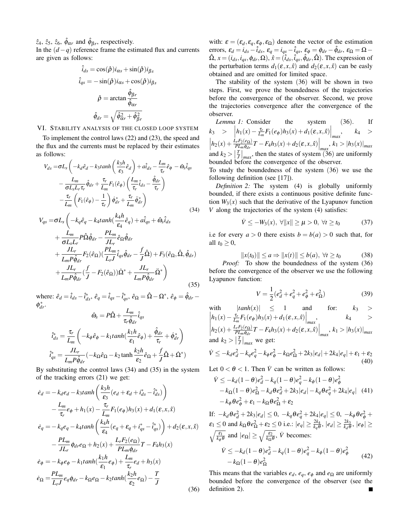$\hat{z}_4$ ,  $\hat{z}_5$ ,  $\hat{z}_6$ ,  $\hat{\phi}_{\alpha r}$  and  $\hat{\phi}_{\beta r}$ , respectively.

In the (*d−q*) reference frame the estimated flux and currents are given as follows:

$$
\hat{i}_{ds} = \cos(\hat{\rho})i_{\alpha s} + \sin(\hat{\rho})i_{\beta s}
$$

$$
\hat{i}_{qs} = -\sin(\hat{\rho})i_{\alpha s} + \cos(\hat{\rho})i_{\beta s}
$$

$$
\hat{\rho} = \arctan\frac{\hat{\phi}_{\beta r}}{\hat{\phi}_{\alpha r}}
$$

$$
\hat{\phi}_{dr} = \sqrt{\hat{\phi}_{\alpha r}^2 + \hat{\phi}_{\beta r}^2}
$$

VI. STABILITY ANALYSIS OF THE CLOSED LOOP SYSTEM

To implement the control laws (22) and (23), the speed and the flux and the currents must be replaced by their estimates as follows:

$$
V_{ds} = \sigma L_s \left( -k_d \hat{e}_d - k_3 \tanh\left(\frac{k_3 h}{\epsilon_3} \hat{e}_d\right) + a\hat{i}_{ds} - \frac{L_m}{\tau_r} \hat{e}_\phi - \hat{\omega}_s \hat{i}_{qs} \right)
$$

$$
- \frac{L_m}{\sigma L_s L_r \tau_r} \hat{\phi}_{dr} + \frac{\tau_r}{L_m} F_1(\hat{e}_\phi) \left(\frac{L_m}{\tau_r} \hat{i}_{ds} - \frac{\hat{\phi}_{dr}}{\tau_r}\right)
$$

$$
- \frac{\tau_r}{L_m} \left(F_1(\hat{e}_\phi) - \frac{1}{\tau_r}\right) \phi_{dr}^* + \frac{\tau_r}{L_m} \phi_{dr}^* \right)
$$
(34)

$$
V_{qs} = \sigma L_s \left( -k_q \hat{e}_q - k_4 \tanh(\frac{k_4 h}{\epsilon_4} \hat{e}_q) + a \hat{i}_{qs} + \hat{\omega}_s \hat{i}_{ds} \right. \n+ \frac{L_m}{\sigma L_s L_r} P \hat{\Omega} \hat{\phi}_{dr} - \frac{P L_m}{J L_r} \hat{e}_\Omega \hat{\phi}_{dr} \n+ \frac{J L_r}{L_m P \hat{\phi}_{dr}} F_2 (\hat{e}_\Omega) (\frac{P L_m}{L_r J} \hat{i}_{qs} \hat{\phi}_{dr} - \frac{f}{J} \hat{\Omega}) + F_3 (\hat{e}_\Omega, \hat{\Omega}, \hat{\phi}_{dr}) \n+ \frac{J L_r}{L_m P \hat{\phi}_{dr}} (\frac{f}{J} - F_2 (\hat{e}_\Omega)) \hat{\Omega}^* + \frac{J L_r}{L_m P \hat{\phi}_{dr}} \hat{\Omega}^* \right)
$$
\n(35)

where:  $\hat{e}_d = \hat{i}_{ds} - \hat{i}_{ds}^*$ ,  $\hat{e}_q = \hat{i}_{qs} - \hat{i}_{qs}^*$ ,  $\hat{e}_{\Omega} = \hat{\Omega} - \Omega^*$ ,  $\hat{e}_{\phi} = \hat{\phi}_{dr} - \Omega^*$  $\phi_{dr}^*$ . *Lm*

$$
\hat{\omega}_{s} = P\hat{\Omega} + \frac{L_{m}}{\tau_{r}\hat{\phi}_{dr}}\hat{i}_{qs}
$$

$$
\hat{i}_{ds}^{*} = \frac{\tau_{r}}{L_{m}} \left( -k_{\phi}\hat{e}_{\phi} - k_{1}tanh(\frac{k_{1}h}{\epsilon_{1}}\hat{e}_{\phi}) + \frac{\hat{\phi}_{dr}}{\tau_{r}} + \dot{\phi}_{dr}^{*} \right)
$$

$$
\hat{i}_{qs}^{*} = \frac{JL_{r}}{L_{m}P\hat{\phi}_{dr}} (-k_{\Omega}\hat{e}_{\Omega} - k_{2}\tanh\frac{k_{2}h}{\epsilon_{2}}\hat{e}_{\Omega} + \frac{f}{J}\hat{\Omega} + \hat{\Omega}^{*})
$$

By substituting the control laws (34) and (35) in the system of the tracking errors (21) we get:

$$
\dot{e}_d = -k_d e_d - k_3 \tanh\left(\frac{k_3 h}{\varepsilon_3} (e_d + \varepsilon_d + i_{ds}^* - i_{ds}^*)\right)
$$
  
\n
$$
- \frac{L_m}{\tau_r} e_\phi + h_1(x) - \frac{\tau_r}{L_m} F_1(e_\phi) h_3(x) + d_1(\varepsilon, x, \hat{x})
$$
  
\n
$$
\dot{e}_q = -k_q e_q - k_4 \tanh\left(\frac{k_4 h}{\varepsilon_4} (e_q + \varepsilon_q + i_{qs}^* - i_{qs}^*)\right) + d_2(\varepsilon, x, \hat{x})
$$
  
\n
$$
- \frac{P L_m}{J L_r} \phi_{dr} e_\Omega + h_2(x) + \frac{L_r F_2(e_\Omega)}{P L_m \phi_{dr}} T - F_4 h_3(x)
$$
  
\n
$$
\dot{e}_\phi = -k_\phi e_\phi - k_1 \tanh\left(\frac{k_1 h}{\varepsilon_1} e_\phi\right) + \frac{L_m}{\tau_r} e_d + h_3(x)
$$
  
\n
$$
\dot{e}_\Omega = \frac{P L_m}{L_r J} e_q \phi_{dr} - k_\Omega e_\Omega - k_2 \tanh\left(\frac{k_2 h}{\varepsilon_2} e_\Omega\right) - \frac{T}{J}
$$
  
\n(36)

with:  $\varepsilon = (\varepsilon_d, \varepsilon_q, \varepsilon_\phi, \varepsilon_\Omega)$  denote the vector of the estimation errors,  $\varepsilon_d = i_{ds} - \hat{i}_{ds}, \ \varepsilon_q = i_{qs} - \hat{i}_{qs}, \ \varepsilon_\phi = \phi_{dr} - \hat{\phi}_{dr}, \ \varepsilon_\Omega = \Omega \hat{\Omega}$ ,  $x = (i_{ds}, i_{qs}, \phi_{dr}, \Omega)$ ,  $\hat{x} = (\hat{i}_{ds}, \hat{i}_{qs}, \hat{\phi}_{dr}, \hat{\Omega})$ . The expression of the perturbation terms  $d_1(\varepsilon, x, \hat{x})$  and  $d_2(\varepsilon, x, \hat{x})$  can be easly obtained and are omitted for limited space.

The stability of the system (36) will be shown in two steps. First, we prove the boundedness of the trajectories before the convergence of the observer. Second, we prove the trajectories convergence after the convergence of the observer.

*Lemma 1:* Consider the system (36). If  $k_3$  >  $\left| h_1(x) - \frac{\tau_r}{L_m} F_1(e_{\phi}) h_3(x) + d_1(\varepsilon, x, \hat{x}) \right|_{max}, \quad k_4$  >  $\left|h_2(x)+\frac{L_rF_2(e_0)}{PL_m\phi_{dr}}T-F_4h_3(x)+d_2(\varepsilon,x,\hat{x})\right|_{max}, k_1>|h_3(x)|_{max}$ and  $k_2 > \left| \frac{T}{J} \right|_{max}$ , then the states of system (36) are uniformly bounded before the convergence of the observer.

To study the boundedness of the system (36) we use the following definition (see [17]).

*Definition 2:* The system (4) is globally uniformly bounded, if there exists a continuous positive definite function  $W_3(x)$  such that the derivative of the Lyapunov function *V* along the trajectories of the system (4) satisfies:

$$
\dot{V} \le -W_3(x), \ \forall ||x|| \ge \mu > 0, \ \forall t \ge t_0 \tag{37}
$$

i.e for every  $a > 0$  there exists  $b = b(a) > 0$  such that, for all  $t_0 \geq 0$ ,

$$
||x(t_0)|| \le a \Rightarrow ||x(t)|| \le b(a), \forall t \ge t_0
$$
\n(38)

*Proof:* To show the boundedness of the system (36) before the convergence of the observer we use the following Lyapunov function:

$$
V = \frac{1}{2} (e_d^2 + e_q^2 + e_\phi^2 + e_\Omega^2)
$$
 (39)

with 
$$
|tanh(x)| \le 1
$$
 and for:  $k_3 >$   
\n
$$
\begin{vmatrix} h_1(x) - \frac{\tau_r}{L_m} F_1(e_{\phi}) h_3(x) + d_1(\varepsilon, x, \hat{x}) \Big|_{max}, & k_4 > \\ h_2(x) + \frac{L_r F_2(e_{\Omega})}{PL_m \phi_{dr}} T - F_4 h_3(x) + d_2(\varepsilon, x, \hat{x}) \Big|_{max}, & k_1 > |h_3(x)|_{max}
$$
  
\nand  $k_2 > |\frac{T}{J}|_{max}$  we get:

$$
\dot{V} \le -k_d e_d^2 - k_q e_q^2 - k_\phi e_\phi^2 - k_\Omega e_\Omega^2 + 2k_3 |e_d| + 2k_4 |e_q| + \varepsilon_1 + \varepsilon_2
$$
\n
$$
\tag{40}
$$

Let  $0 < \theta < 1$ . Then  $\dot{V}$  can be written as follows:

$$
\dot{V} \le -k_d(1-\theta)e_d^2 - k_q(1-\theta)e_q^2 - k_\phi(1-\theta)e_\phi^2
$$
  
\n
$$
-k_\Omega(1-\theta)e_\Omega^2 - k_d\theta e_d^2 + 2k_3|e_d| - k_q\theta e_q^2 + 2k_4|e_q| \quad (41)
$$
  
\n
$$
-k_\phi\theta e_\phi^2 + \varepsilon_1 - k_\Omega\theta e_\Omega^2 + \varepsilon_2
$$

If:  $-k_d \theta e_d^2 + 2k_3 |e_d| \leq 0$ ,  $-k_q \theta e_q^2 + 2k_4 |e_q| \leq 0$ ,  $-k_{\phi} \theta e_{\phi}^2 +$  $\mathcal{E}_1 \leq 0$  and  $k_{\Omega} \theta e_{\Omega}^2 + \mathcal{E}_2 \leq 0$  i.e.:  $|e_q| \geq \frac{2k_4}{k_q \theta}$ ,  $|e_d| \geq \frac{2k_3}{k_d \theta}$ ,  $|e_{\phi}| \geq$  $\sqrt{\frac{\varepsilon_1}{k_\phi \theta}}$  and  $|e_\Omega| \ge \sqrt{\frac{\varepsilon_2}{k_\Omega \theta}}, \dot{V}$  becomes:

$$
\dot{V} \le -k_d (1 - \theta) e_d^2 - k_q (1 - \theta) e_q^2 - k_\phi (1 - \theta) e_\phi^2 \n- k_\Omega (1 - \theta) e_\Omega^2
$$
\n(42)

This means that the variables  $e_d$ ,  $e_g$ ,  $e_\phi$  and  $e_\Omega$  are uniformly bounded before the convergence of the observer (see the definition 2).٠